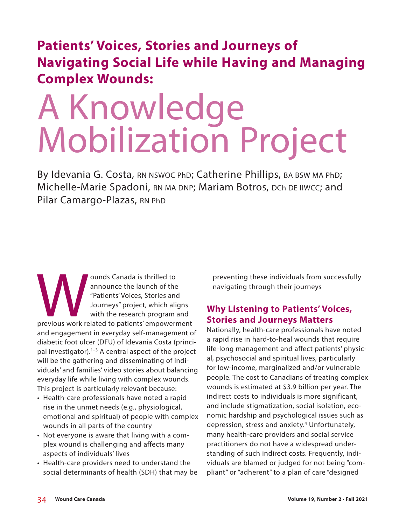## **Patients' Voices, Stories and Journeys of Navigating Social Life while Having and Managing Complex Wounds:**

# A Knowledge Mobilization Project

By Idevania G. Costa, RN NSWOC PhD; Catherine Phillips, BA BSW MA PhD; Michelle-Marie Spadoni, RN MA DNP; Mariam Botros, DCh DE IIWCC; and Pilar Camargo-Plazas, RN PhD

ounds Canada is thrilled to<br>
announce the launch of the<br>
"Patients' Voices, Stories and<br>
Journeys" project, which aligns<br>
with the research program and<br>
previous work related to patients' empowerment announce the launch of the "Patients' Voices, Stories and Journeys" project, which aligns with the research program and and engagement in everyday self-management of diabetic foot ulcer (DFU) of Idevania Costa (principal investigator).<sup>1-3</sup> A central aspect of the project will be the gathering and disseminating of individuals' and families' video stories about balancing everyday life while living with complex wounds. This project is particularly relevant because:

- Health-care professionals have noted a rapid rise in the unmet needs (e.g., physiological, emotional and spiritual) of people with complex wounds in all parts of the country
- Not everyone is aware that living with a complex wound is challenging and affects many aspects of individuals' lives
- Health-care providers need to understand the social determinants of health (SDH) that may be

preventing these individuals from successfully navigating through their journeys

### **Why Listening to Patients' Voices, Stories and Journeys Matters**

Nationally, health-care professionals have noted a rapid rise in hard-to-heal wounds that require life-long management and affect patients' physical, psychosocial and spiritual lives, particularly for low-income, marginalized and/or vulnerable people. The cost to Canadians of treating complex wounds is estimated at \$3.9 billion per year. The indirect costs to individuals is more significant, and include stigmatization, social isolation, economic hardship and psychological issues such as depression, stress and anxiety.<sup>4</sup> Unfortunately, many health-care providers and social service practitioners do not have a widespread understanding of such indirect costs. Frequently, individuals are blamed or judged for not being "compliant" or "adherent" to a plan of care "designed